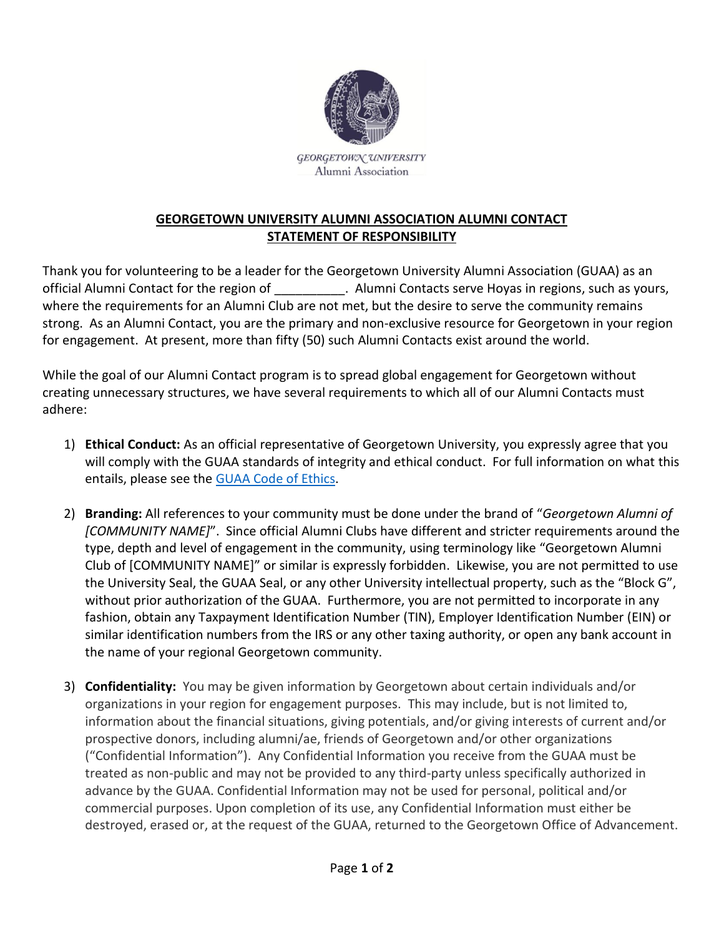

GEORGETOWN UNIVERSITY Alumni Association

## **GEORGETOWN UNIVERSITY ALUMNI ASSOCIATION ALUMNI CONTACT STATEMENT OF RESPONSIBILITY**

Thank you for volunteering to be a leader for the Georgetown University Alumni Association (GUAA) as an official Alumni Contact for the region of \_\_\_\_\_\_\_\_\_\_. Alumni Contacts serve Hoyas in regions, such as yours, where the requirements for an Alumni Club are not met, but the desire to serve the community remains strong. As an Alumni Contact, you are the primary and non-exclusive resource for Georgetown in your region for engagement. At present, more than fifty (50) such Alumni Contacts exist around the world.

While the goal of our Alumni Contact program is to spread global engagement for Georgetown without creating unnecessary structures, we have several requirements to which all of our Alumni Contacts must adhere:

- 1) **Ethical Conduct:** As an official representative of Georgetown University, you expressly agree that you will comply with the GUAA standards of integrity and ethical conduct. For full information on what this entails, please see the [GUAA Code of](https://drive.google.com/file/d/1rU70TBXgbro2kAoRuLYeqKWKrfSg34Os/view?usp=sharing) Ethics.
- 2) **Branding:** All references to your community must be done under the brand of "*Georgetown Alumni of [COMMUNITY NAME]*". Since official Alumni Clubs have different and stricter requirements around the type, depth and level of engagement in the community, using terminology like "Georgetown Alumni Club of [COMMUNITY NAME]" or similar is expressly forbidden. Likewise, you are not permitted to use the University Seal, the GUAA Seal, or any other University intellectual property, such as the "Block G", without prior authorization of the GUAA. Furthermore, you are not permitted to incorporate in any fashion, obtain any Taxpayment Identification Number (TIN), Employer Identification Number (EIN) or similar identification numbers from the IRS or any other taxing authority, or open any bank account in the name of your regional Georgetown community.
- 3) **Confidentiality:** You may be given information by Georgetown about certain individuals and/or organizations in your region for engagement purposes. This may include, but is not limited to, information about the financial situations, giving potentials, and/or giving interests of current and/or prospective donors, including alumni/ae, friends of Georgetown and/or other organizations ("Confidential Information"). Any Confidential Information you receive from the GUAA must be treated as non-public and may not be provided to any third-party unless specifically authorized in advance by the GUAA. Confidential Information may not be used for personal, political and/or commercial purposes. Upon completion of its use, any Confidential Information must either be destroyed, erased or, at the request of the GUAA, returned to the Georgetown Office of Advancement.